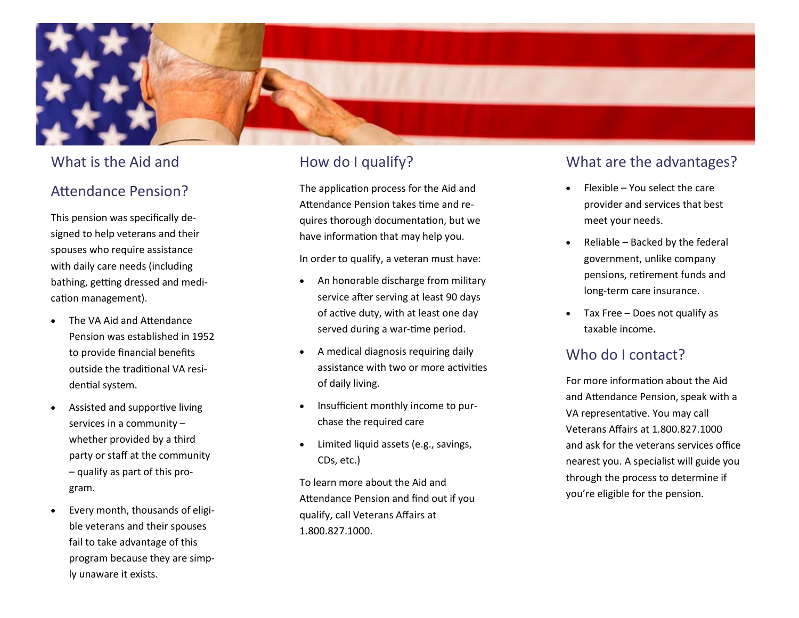

### What is the Aid and

## Attendance Pension?

This pension was specifically designed to help veterans and their spouses who require assistance with daily care needs (including bathing, getting dressed and medication management).

- The VA Aid and Attendance Pension was established in 1952 to provide financial benefits outside the traditional VA residential system.
- Assisted and supportive living services in a community – whether provided by a third party or staff at the community – qualify as part of this program.
- Every month, thousands of eligible veterans and their spouses fail to take advantage of this program because they are simply unaware it exists.

# How do I qualify?

The application process for the Aid and Attendance Pension takes time and requires thorough documentation, but we have information that may help you.

In order to qualify, a veteran must have:

- An honorable discharge from military service after serving at least 90 days of active duty, with at least one day served during a war -time period.
- A medical diagnosis requiring daily assistance with two or more activities of daily living.
- Insufficient monthly income to purchase the required care
- Limited liquid assets (e.g., savings, CDs, etc.)

To learn more about the Aid and Attendance Pension and find out if you qualify, call Veterans Affairs at 1.800.827.1000 .

### What are the advantages?

- Flexible You select the care provider and services that best meet your needs.
- Reliable Backed by the federal government, unlike company pensions, retirement funds and long -term care insurance.
- Tax Free Does not qualify as taxable income.

## Who do I contact?

For more information about the Aid and Attendance Pension, speak with a VA representative. You may call Veterans Affairs at 1.800.827.1000 and ask for the veterans services office nearest you. A specialist will guide you through the process to determine if you're eligible for the pension.